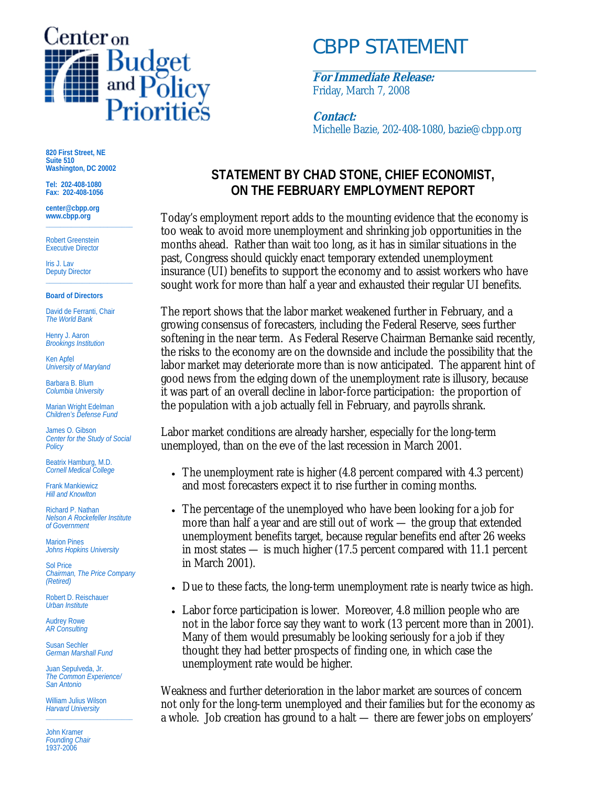

## *CBPP STATEMENT*

**For Immediate Release:** Friday, March 7, 2008

**Contact:** Michelle Bazie, 202-408-1080, bazie@cbpp.org

## **STATEMENT BY CHAD STONE, CHIEF ECONOMIST, ON THE FEBRUARY EMPLOYMENT REPORT**

Today's employment report adds to the mounting evidence that the economy is too weak to avoid more unemployment and shrinking job opportunities in the months ahead. Rather than wait too long, as it has in similar situations in the past, Congress should quickly enact temporary extended unemployment insurance (UI) benefits to support the economy and to assist workers who have sought work for more than half a year and exhausted their regular UI benefits.

The report shows that the labor market weakened further in February, and a growing consensus of forecasters, including the Federal Reserve, sees further softening in the near term. As Federal Reserve Chairman Bernanke said recently, the risks to the economy are on the downside and include the possibility that the labor market may deteriorate more than is now anticipated. The apparent hint of good news from the edging down of the unemployment rate is illusory, because it was part of an overall decline in labor-force participation: the proportion of the population with a job actually fell in February, and payrolls shrank.

Labor market conditions are already harsher, especially for the long-term unemployed, than on the eve of the last recession in March 2001.

- The unemployment rate is higher (4.8 percent compared with 4.3 percent) and most forecasters expect it to rise further in coming months.
- The percentage of the unemployed who have been looking for a job for more than half a year and are still out of work — the group that extended unemployment benefits target, because regular benefits end after 26 weeks in most states — is much higher (17.5 percent compared with 11.1 percent in March 2001).
- Due to these facts, the long-term unemployment rate is nearly twice as high.
- Labor force participation is lower. Moreover, 4.8 million people who are not in the labor force say they want to work (13 percent more than in 2001). Many of them would presumably be looking seriously for a job if they thought they had better prospects of finding one, in which case the unemployment rate would be higher.

Weakness and further deterioration in the labor market are sources of concern not only for the long-term unemployed and their families but for the economy as a whole. Job creation has ground to a halt — there are fewer jobs on employers'

**820 First Street, NE Suite 510 Washington, DC 20002** 

**Tel: 202-408-1080 Fax: 202-408-1056** 

**center@cbpp.org www.cbpp.org \_\_\_\_\_\_\_\_\_\_\_\_\_\_\_\_\_\_\_\_\_\_\_\_** 

Robert Greenstein Executive Director

Iris J. Lav Deputy Director **\_\_\_\_\_\_\_\_\_\_\_\_\_\_\_\_\_\_\_\_\_\_\_\_** 

## **Board of Directors**

David de Ferranti, Chair *The World Bank* 

Henry J. Aaron *Brookings Institution* 

Ken Apfel *University of Maryland* 

Barbara B. Blum *Columbia University* 

Marian Wright Edelman *Children's Defense Fund* 

James O. Gibson *Center for the Study of Social Policy* 

Beatrix Hamburg, M.D. *Cornell Medical College* 

Frank Mankiewicz *Hill and Knowlton* 

Richard P. Nathan *Nelson A Rockefeller Institute of Government* 

Marion Pines *Johns Hopkins University* 

Sol Price *Chairman, The Price Company (Retired)* 

Robert D. Reischauer *Urban Institute* 

Audrey Rowe *AR Consulting* 

Susan Sechler *German Marshall Fund* 

Juan Sepulveda, Jr. *The Common Experience/ San Antonio* 

William Julius Wilson *Harvard University*  **\_\_\_\_\_\_\_\_\_\_\_\_\_\_\_\_\_\_\_\_\_\_\_\_** 

John Kramer *Founding Chair*  1937-2006